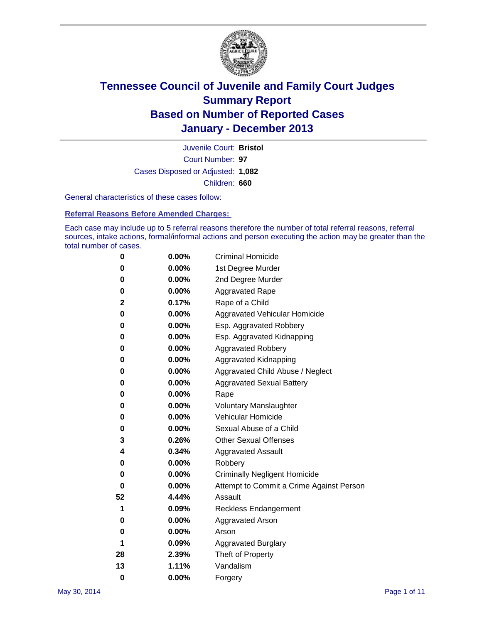

Court Number: **97** Juvenile Court: **Bristol** Cases Disposed or Adjusted: **1,082** Children: **660**

General characteristics of these cases follow:

**Referral Reasons Before Amended Charges:** 

Each case may include up to 5 referral reasons therefore the number of total referral reasons, referral sources, intake actions, formal/informal actions and person executing the action may be greater than the total number of cases.

| 0        | 0.00%    | <b>Criminal Homicide</b>                 |
|----------|----------|------------------------------------------|
| 0        | 0.00%    | 1st Degree Murder                        |
| 0        | 0.00%    | 2nd Degree Murder                        |
| 0        | $0.00\%$ | <b>Aggravated Rape</b>                   |
| 2        | 0.17%    | Rape of a Child                          |
| 0        | 0.00%    | <b>Aggravated Vehicular Homicide</b>     |
| 0        | $0.00\%$ | Esp. Aggravated Robbery                  |
| 0        | 0.00%    | Esp. Aggravated Kidnapping               |
| 0        | 0.00%    | <b>Aggravated Robbery</b>                |
| 0        | 0.00%    | Aggravated Kidnapping                    |
| 0        | 0.00%    | Aggravated Child Abuse / Neglect         |
| 0        | 0.00%    | <b>Aggravated Sexual Battery</b>         |
| 0        | 0.00%    | Rape                                     |
| 0        | 0.00%    | <b>Voluntary Manslaughter</b>            |
| 0        | 0.00%    | Vehicular Homicide                       |
| 0        | $0.00\%$ | Sexual Abuse of a Child                  |
| 3        | 0.26%    | <b>Other Sexual Offenses</b>             |
| 4        | 0.34%    | <b>Aggravated Assault</b>                |
| 0        | 0.00%    | Robbery                                  |
| 0        | 0.00%    | <b>Criminally Negligent Homicide</b>     |
| 0        | 0.00%    | Attempt to Commit a Crime Against Person |
| 52       | 4.44%    | Assault                                  |
| 1        | 0.09%    | <b>Reckless Endangerment</b>             |
| 0        | 0.00%    | <b>Aggravated Arson</b>                  |
| 0        | $0.00\%$ | Arson                                    |
| 1        | 0.09%    | <b>Aggravated Burglary</b>               |
| 28       | 2.39%    | Theft of Property                        |
| 13       | 1.11%    | Vandalism                                |
| $\bf{0}$ | 0.00%    | Forgery                                  |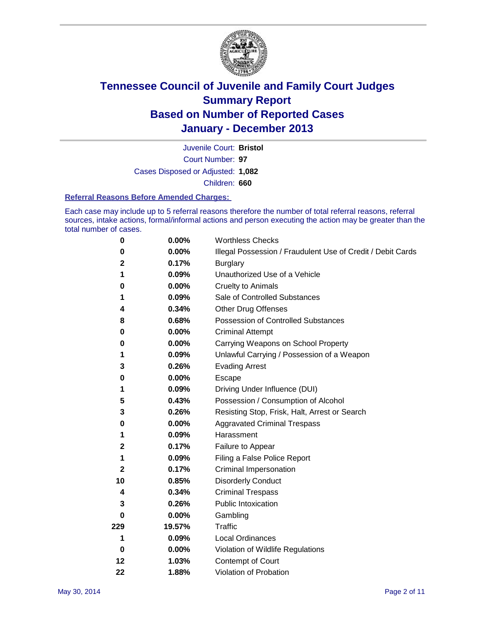

Court Number: **97** Juvenile Court: **Bristol** Cases Disposed or Adjusted: **1,082** Children: **660**

### **Referral Reasons Before Amended Charges:**

Each case may include up to 5 referral reasons therefore the number of total referral reasons, referral sources, intake actions, formal/informal actions and person executing the action may be greater than the total number of cases.

| 0           | 0.00%    | <b>Worthless Checks</b>                                     |
|-------------|----------|-------------------------------------------------------------|
| 0           | 0.00%    | Illegal Possession / Fraudulent Use of Credit / Debit Cards |
| 2           | 0.17%    | <b>Burglary</b>                                             |
| 1           | 0.09%    | Unauthorized Use of a Vehicle                               |
| 0           | 0.00%    | <b>Cruelty to Animals</b>                                   |
| 1           | 0.09%    | Sale of Controlled Substances                               |
| 4           | 0.34%    | <b>Other Drug Offenses</b>                                  |
| 8           | 0.68%    | Possession of Controlled Substances                         |
| 0           | 0.00%    | <b>Criminal Attempt</b>                                     |
| 0           | 0.00%    | Carrying Weapons on School Property                         |
| 1           | 0.09%    | Unlawful Carrying / Possession of a Weapon                  |
| 3           | 0.26%    | <b>Evading Arrest</b>                                       |
| 0           | 0.00%    | Escape                                                      |
| 1           | 0.09%    | Driving Under Influence (DUI)                               |
| 5           | 0.43%    | Possession / Consumption of Alcohol                         |
| 3           | 0.26%    | Resisting Stop, Frisk, Halt, Arrest or Search               |
| 0           | 0.00%    | <b>Aggravated Criminal Trespass</b>                         |
| 1           | 0.09%    | Harassment                                                  |
| $\mathbf 2$ | 0.17%    | Failure to Appear                                           |
| 1           | 0.09%    | Filing a False Police Report                                |
| $\mathbf 2$ | 0.17%    | Criminal Impersonation                                      |
| 10          | 0.85%    | <b>Disorderly Conduct</b>                                   |
| 4           | 0.34%    | <b>Criminal Trespass</b>                                    |
| 3           | 0.26%    | <b>Public Intoxication</b>                                  |
| 0           | 0.00%    | Gambling                                                    |
| 229         | 19.57%   | Traffic                                                     |
| 1           | 0.09%    | <b>Local Ordinances</b>                                     |
| 0           | $0.00\%$ | Violation of Wildlife Regulations                           |
| 12          | 1.03%    | Contempt of Court                                           |
| 22          | 1.88%    | Violation of Probation                                      |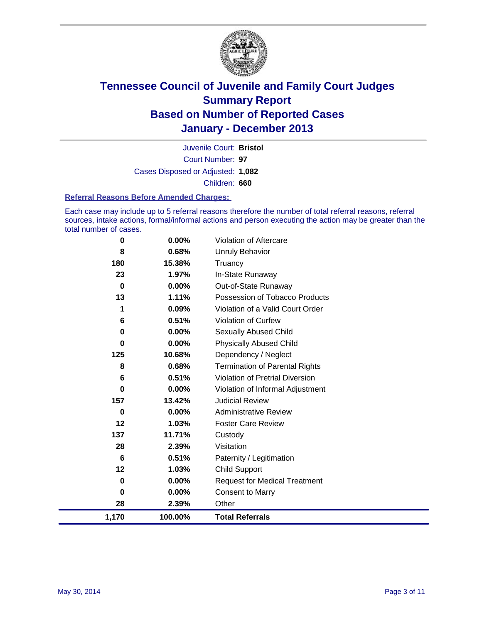

Court Number: **97** Juvenile Court: **Bristol** Cases Disposed or Adjusted: **1,082** Children: **660**

### **Referral Reasons Before Amended Charges:**

Each case may include up to 5 referral reasons therefore the number of total referral reasons, referral sources, intake actions, formal/informal actions and person executing the action may be greater than the total number of cases.

| 1,170    | 100.00%         | <b>Total Referrals</b>                 |
|----------|-----------------|----------------------------------------|
| 28       | 2.39%           | Other                                  |
| 0        | 0.00%           | <b>Consent to Marry</b>                |
| 0        | 0.00%           | <b>Request for Medical Treatment</b>   |
| 12       | 1.03%           | Child Support                          |
| 6        | 0.51%           | Paternity / Legitimation               |
| 28       | 2.39%           | Visitation                             |
| 137      | 11.71%          | Custody                                |
| 12       | 1.03%           | <b>Foster Care Review</b>              |
| 0        | 0.00%           | <b>Administrative Review</b>           |
| 157      | 13.42%          | <b>Judicial Review</b>                 |
| 0        | 0.00%           | Violation of Informal Adjustment       |
| 6        | 0.51%           | <b>Violation of Pretrial Diversion</b> |
| 8        | 0.68%           | <b>Termination of Parental Rights</b>  |
| 125      | 10.68%          | Dependency / Neglect                   |
| 0        | 0.00%           | <b>Physically Abused Child</b>         |
| 0        | 0.00%           | Sexually Abused Child                  |
| 6        | 0.51%           | Violation of Curfew                    |
| 1        | 0.09%           | Violation of a Valid Court Order       |
| 13       | 1.11%           | Possession of Tobacco Products         |
| 0        | 0.00%           | Out-of-State Runaway                   |
| 23       | 1.97%           | In-State Runaway                       |
| 8<br>180 | 0.68%<br>15.38% | <b>Unruly Behavior</b><br>Truancy      |
|          |                 |                                        |
| 0        | 0.00%           | Violation of Aftercare                 |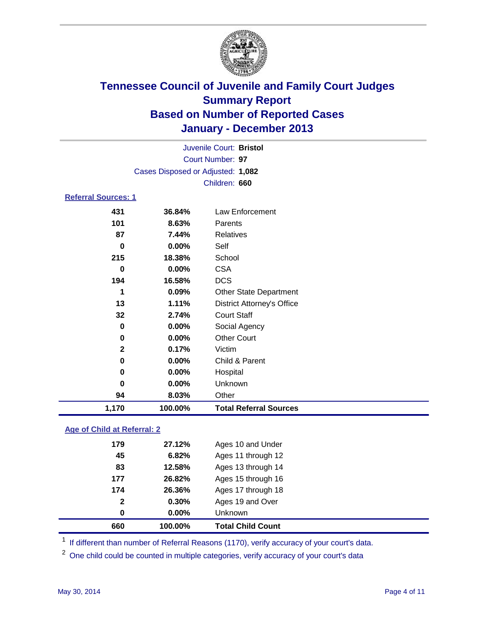

|                            |                                   | Juvenile Court: Bristol           |  |  |  |
|----------------------------|-----------------------------------|-----------------------------------|--|--|--|
|                            |                                   | Court Number: 97                  |  |  |  |
|                            | Cases Disposed or Adjusted: 1,082 |                                   |  |  |  |
|                            |                                   | Children: 660                     |  |  |  |
| <b>Referral Sources: 1</b> |                                   |                                   |  |  |  |
| 431                        | 36.84%                            | <b>Law Enforcement</b>            |  |  |  |
| 101                        | 8.63%                             | Parents                           |  |  |  |
| 87                         | 7.44%                             | <b>Relatives</b>                  |  |  |  |
| 0                          | 0.00%                             | Self                              |  |  |  |
| 215                        | 18.38%                            | School                            |  |  |  |
| 0                          | $0.00\%$                          | <b>CSA</b>                        |  |  |  |
| 194                        | 16.58%                            | <b>DCS</b>                        |  |  |  |
| 1                          | 0.09%                             | Other State Department            |  |  |  |
| 13                         | 1.11%                             | <b>District Attorney's Office</b> |  |  |  |
| 32                         | 2.74%                             | <b>Court Staff</b>                |  |  |  |
| 0                          | $0.00\%$                          | Social Agency                     |  |  |  |
| 0                          | $0.00\%$                          | <b>Other Court</b>                |  |  |  |
| 2                          | 0.17%                             | Victim                            |  |  |  |
| 0                          | $0.00\%$                          | Child & Parent                    |  |  |  |
| 0                          | 0.00%                             | Hospital                          |  |  |  |
| 0                          | 0.00%                             | Unknown                           |  |  |  |
| 94                         | 8.03%                             | Other                             |  |  |  |
| 1,170                      | 100.00%                           | <b>Total Referral Sources</b>     |  |  |  |

### **Age of Child at Referral: 2**

| $\mathbf{2}$<br>0 | 0.30%<br>0.00% | Ages 19 and Over<br><b>Unknown</b> |
|-------------------|----------------|------------------------------------|
|                   |                |                                    |
|                   |                |                                    |
| 174               | 26.36%         | Ages 17 through 18                 |
| 177               | 26.82%         | Ages 15 through 16                 |
| 83                | 12.58%         | Ages 13 through 14                 |
| 45                | 6.82%          | Ages 11 through 12                 |
| 179               | 27.12%         | Ages 10 and Under                  |
|                   |                |                                    |

<sup>1</sup> If different than number of Referral Reasons (1170), verify accuracy of your court's data.

<sup>2</sup> One child could be counted in multiple categories, verify accuracy of your court's data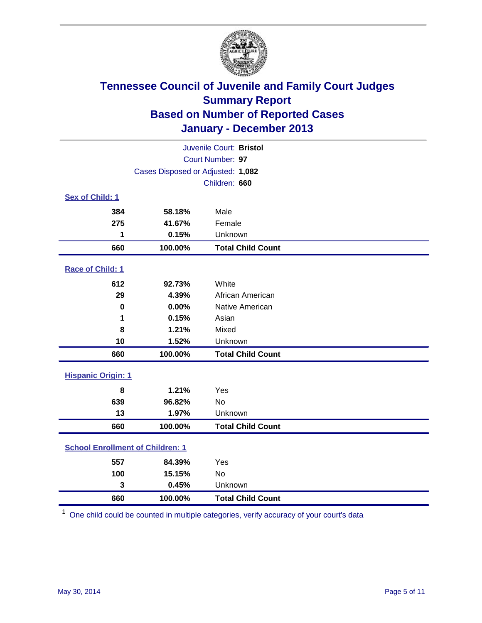

|                                         |         | Juvenile Court: Bristol  |  |  |
|-----------------------------------------|---------|--------------------------|--|--|
| Court Number: 97                        |         |                          |  |  |
| Cases Disposed or Adjusted: 1,082       |         |                          |  |  |
|                                         |         | Children: 660            |  |  |
| Sex of Child: 1                         |         |                          |  |  |
| 384                                     | 58.18%  | Male                     |  |  |
| 275                                     | 41.67%  | Female                   |  |  |
| 1                                       | 0.15%   | Unknown                  |  |  |
| 660                                     | 100.00% | <b>Total Child Count</b> |  |  |
| Race of Child: 1                        |         |                          |  |  |
| 612                                     | 92.73%  | White                    |  |  |
| 29                                      | 4.39%   | African American         |  |  |
| 0                                       | 0.00%   | Native American          |  |  |
| 1                                       | 0.15%   | Asian                    |  |  |
| 8                                       | 1.21%   | Mixed                    |  |  |
| 10                                      | 1.52%   | Unknown                  |  |  |
| 660                                     | 100.00% | <b>Total Child Count</b> |  |  |
| <b>Hispanic Origin: 1</b>               |         |                          |  |  |
| 8                                       | 1.21%   | Yes                      |  |  |
| 639                                     | 96.82%  | <b>No</b>                |  |  |
| 13                                      | 1.97%   | Unknown                  |  |  |
| 660                                     | 100.00% | <b>Total Child Count</b> |  |  |
| <b>School Enrollment of Children: 1</b> |         |                          |  |  |
| 557                                     | 84.39%  | Yes                      |  |  |
| 100                                     | 15.15%  | <b>No</b>                |  |  |
| 3                                       | 0.45%   | Unknown                  |  |  |
| 660                                     | 100.00% | <b>Total Child Count</b> |  |  |

One child could be counted in multiple categories, verify accuracy of your court's data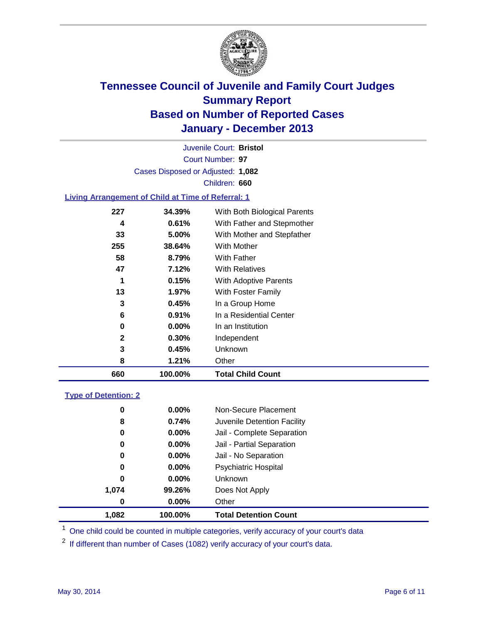

Court Number: **97** Juvenile Court: **Bristol** Cases Disposed or Adjusted: **1,082** Children: **660**

### **Living Arrangement of Child at Time of Referral: 1**

| 660 | 100.00%  | <b>Total Child Count</b>     |
|-----|----------|------------------------------|
| 8   | 1.21%    | Other                        |
| 3   | 0.45%    | Unknown                      |
| 2   | 0.30%    | Independent                  |
| 0   | $0.00\%$ | In an Institution            |
| 6   | 0.91%    | In a Residential Center      |
| 3   | 0.45%    | In a Group Home              |
| 13  | 1.97%    | With Foster Family           |
| 1   | 0.15%    | With Adoptive Parents        |
| 47  | 7.12%    | <b>With Relatives</b>        |
| 58  | 8.79%    | With Father                  |
| 255 | 38.64%   | With Mother                  |
| 33  | 5.00%    | With Mother and Stepfather   |
| 4   | 0.61%    | With Father and Stepmother   |
| 227 | 34.39%   | With Both Biological Parents |
|     |          |                              |

### **Type of Detention: 2**

| 1,082 | 100.00%  | <b>Total Detention Count</b> |
|-------|----------|------------------------------|
| 0     | 0.00%    | Other                        |
| 1,074 | 99.26%   | Does Not Apply               |
| 0     | $0.00\%$ | <b>Unknown</b>               |
| 0     | $0.00\%$ | <b>Psychiatric Hospital</b>  |
| 0     | 0.00%    | Jail - No Separation         |
| 0     | $0.00\%$ | Jail - Partial Separation    |
| 0     | 0.00%    | Jail - Complete Separation   |
| 8     | 0.74%    | Juvenile Detention Facility  |
| 0     | 0.00%    | Non-Secure Placement         |
|       |          |                              |

<sup>1</sup> One child could be counted in multiple categories, verify accuracy of your court's data

<sup>2</sup> If different than number of Cases (1082) verify accuracy of your court's data.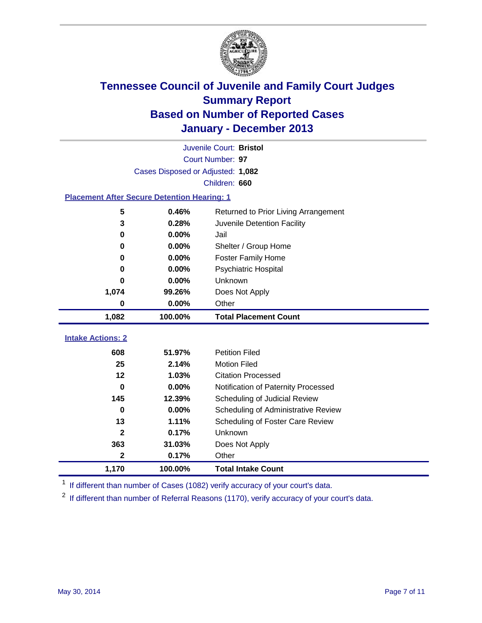

|                                                    |                                   | Juvenile Court: Bristol              |
|----------------------------------------------------|-----------------------------------|--------------------------------------|
|                                                    |                                   | Court Number: 97                     |
|                                                    | Cases Disposed or Adjusted: 1,082 |                                      |
|                                                    |                                   | Children: 660                        |
| <b>Placement After Secure Detention Hearing: 1</b> |                                   |                                      |
| 5                                                  | 0.46%                             | Returned to Prior Living Arrangement |
| 3                                                  | 0.28%                             | Juvenile Detention Facility          |
| 0                                                  | 0.00%                             | Jail                                 |
| 0                                                  | 0.00%                             | Shelter / Group Home                 |
| 0                                                  | 0.00%                             | <b>Foster Family Home</b>            |
| 0                                                  | 0.00%                             | <b>Psychiatric Hospital</b>          |
| 0                                                  | 0.00%                             | Unknown                              |
| 1,074                                              | 99.26%                            | Does Not Apply                       |
| 0                                                  | 0.00%                             | Other                                |
| 1,082                                              | 100.00%                           | <b>Total Placement Count</b>         |
|                                                    |                                   |                                      |
| <b>Intake Actions: 2</b>                           |                                   |                                      |
| 608                                                | 51.97%                            | <b>Petition Filed</b>                |
| 25                                                 | 2.14%                             | <b>Motion Filed</b>                  |
| $12 \,$                                            | 1.03%                             | <b>Citation Processed</b>            |
| $\bf{0}$                                           | 0.00%                             | Notification of Paternity Processed  |
| 145                                                | 12.39%                            | Scheduling of Judicial Review        |
| $\bf{0}$                                           | 0.00%                             | Scheduling of Administrative Review  |
| 13                                                 | 1.11%                             | Scheduling of Foster Care Review     |
| $\mathbf{2}$                                       | 0.17%                             | Unknown                              |
| 363                                                | 31.03%                            | Does Not Apply                       |
| $\mathbf{2}$                                       | 0.17%                             | Other                                |
| 1,170                                              | 100.00%                           | <b>Total Intake Count</b>            |

<sup>1</sup> If different than number of Cases (1082) verify accuracy of your court's data.

 $2$  If different than number of Referral Reasons (1170), verify accuracy of your court's data.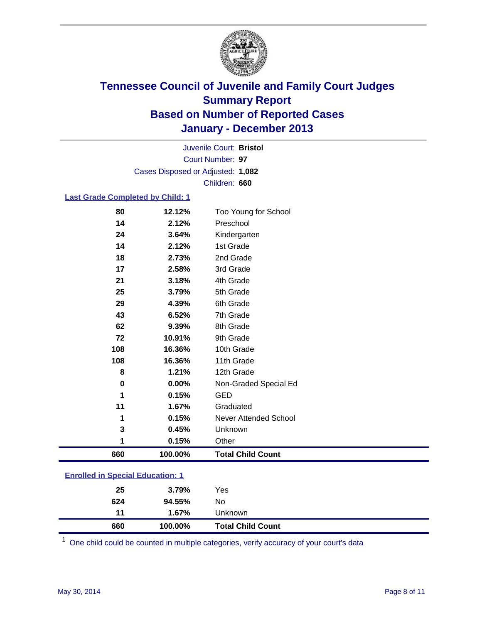

Court Number: **97** Juvenile Court: **Bristol** Cases Disposed or Adjusted: **1,082** Children: **660**

### **Last Grade Completed by Child: 1**

| 660      | 100.00% | <b>Total Child Count</b> |
|----------|---------|--------------------------|
| 1        | 0.15%   | Other                    |
| 3        | 0.45%   | Unknown                  |
| 1        | 0.15%   | Never Attended School    |
| 11       | 1.67%   | Graduated                |
| 1        | 0.15%   | <b>GED</b>               |
| $\bf{0}$ | 0.00%   | Non-Graded Special Ed    |
| 8        | 1.21%   | 12th Grade               |
| 108      | 16.36%  | 11th Grade               |
| 108      | 16.36%  | 10th Grade               |
| 72       | 10.91%  | 9th Grade                |
| 62       | 9.39%   | 8th Grade                |
| 43       | 6.52%   | 7th Grade                |
| 29       | 4.39%   | 6th Grade                |
| 25       | 3.79%   | 5th Grade                |
| 21       | 3.18%   | 4th Grade                |
| 17       | 2.58%   | 3rd Grade                |
| 18       | 2.73%   | 2nd Grade                |
| 14       | 2.12%   | 1st Grade                |
| 24       | 3.64%   | Kindergarten             |
| 14       | 2.12%   | Preschool                |
| 80       | 12.12%  | Too Young for School     |

| <b>Enrolled in Special Education: 1</b> |                             |  |  |  |  |
|-----------------------------------------|-----------------------------|--|--|--|--|
|                                         | $\sim$ $\sim$ $\sim$ $\sim$ |  |  |  |  |

| 660       | $1.67\%$<br>100.00% | Unknown<br><b>Total Child Count</b> |  |
|-----------|---------------------|-------------------------------------|--|
| 624<br>11 | 94.55%              | No                                  |  |
| 25        | $3.79\%$            | Yes                                 |  |

One child could be counted in multiple categories, verify accuracy of your court's data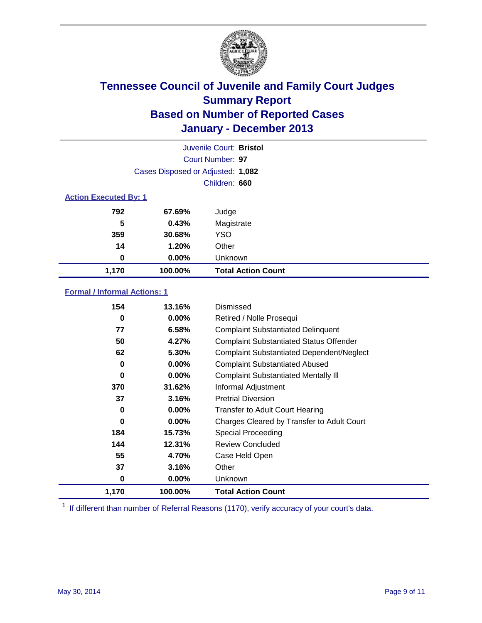

|                              |                                   | Juvenile Court: Bristol   |  |  |
|------------------------------|-----------------------------------|---------------------------|--|--|
|                              |                                   | Court Number: 97          |  |  |
|                              | Cases Disposed or Adjusted: 1,082 |                           |  |  |
|                              |                                   | Children: 660             |  |  |
| <b>Action Executed By: 1</b> |                                   |                           |  |  |
| 792                          | 67.69%                            | Judge                     |  |  |
| 5                            | 0.43%                             | Magistrate                |  |  |
| 359                          | 30.68%                            | <b>YSO</b>                |  |  |
| 14                           | 1.20%                             | Other                     |  |  |
| 0                            | $0.00\%$                          | Unknown                   |  |  |
| 1,170                        | 100.00%                           | <b>Total Action Count</b> |  |  |

### **Formal / Informal Actions: 1**

| 154   | 13.16%   | Dismissed                                        |
|-------|----------|--------------------------------------------------|
| 0     | $0.00\%$ | Retired / Nolle Prosequi                         |
| 77    | 6.58%    | <b>Complaint Substantiated Delinquent</b>        |
| 50    | 4.27%    | <b>Complaint Substantiated Status Offender</b>   |
| 62    | 5.30%    | <b>Complaint Substantiated Dependent/Neglect</b> |
| 0     | 0.00%    | <b>Complaint Substantiated Abused</b>            |
| 0     | $0.00\%$ | <b>Complaint Substantiated Mentally III</b>      |
| 370   | 31.62%   | Informal Adjustment                              |
| 37    | 3.16%    | <b>Pretrial Diversion</b>                        |
| 0     | 0.00%    | <b>Transfer to Adult Court Hearing</b>           |
| 0     | $0.00\%$ | Charges Cleared by Transfer to Adult Court       |
| 184   | 15.73%   | Special Proceeding                               |
| 144   | 12.31%   | <b>Review Concluded</b>                          |
| 55    | 4.70%    | Case Held Open                                   |
| 37    | 3.16%    | Other                                            |
| 0     | $0.00\%$ | Unknown                                          |
| 1,170 | 100.00%  | <b>Total Action Count</b>                        |

<sup>1</sup> If different than number of Referral Reasons (1170), verify accuracy of your court's data.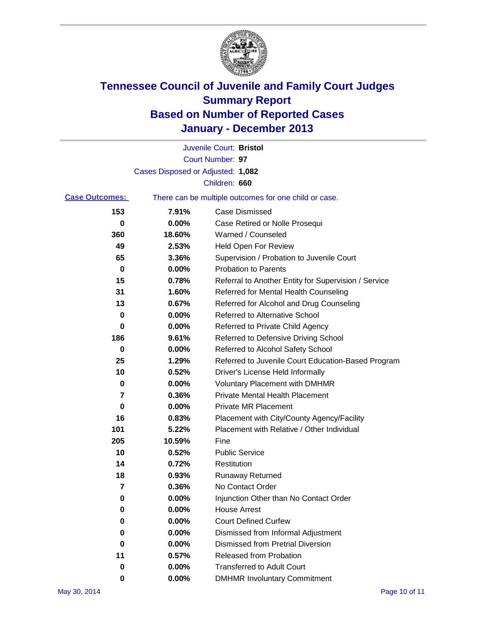

|                       |                                   | Juvenile Court: Bristol                               |
|-----------------------|-----------------------------------|-------------------------------------------------------|
|                       |                                   | Court Number: 97                                      |
|                       | Cases Disposed or Adjusted: 1,082 |                                                       |
|                       |                                   | Children: 660                                         |
| <b>Case Outcomes:</b> |                                   | There can be multiple outcomes for one child or case. |
| 153                   | 7.91%                             | Case Dismissed                                        |
| 0                     | 0.00%                             | Case Retired or Nolle Prosequi                        |
| 360                   | 18.60%                            | Warned / Counseled                                    |
| 49                    | 2.53%                             | Held Open For Review                                  |
| 65                    | 3.36%                             | Supervision / Probation to Juvenile Court             |
| 0                     | 0.00%                             | <b>Probation to Parents</b>                           |
| 15                    | 0.78%                             | Referral to Another Entity for Supervision / Service  |
| 31                    | 1.60%                             | Referred for Mental Health Counseling                 |
| 13                    | 0.67%                             | Referred for Alcohol and Drug Counseling              |
| 0                     | 0.00%                             | <b>Referred to Alternative School</b>                 |
| 0                     | 0.00%                             | Referred to Private Child Agency                      |
| 186                   | 9.61%                             | Referred to Defensive Driving School                  |
| 0                     | 0.00%                             | Referred to Alcohol Safety School                     |
| 25                    | 1.29%                             | Referred to Juvenile Court Education-Based Program    |
| 10                    | 0.52%                             | Driver's License Held Informally                      |
| 0                     | 0.00%                             | <b>Voluntary Placement with DMHMR</b>                 |
| 7                     | 0.36%                             | <b>Private Mental Health Placement</b>                |
| 0                     | 0.00%                             | <b>Private MR Placement</b>                           |
| 16                    | 0.83%                             | Placement with City/County Agency/Facility            |
| 101                   | 5.22%                             | Placement with Relative / Other Individual            |
| 205                   | 10.59%                            | Fine                                                  |
| 10                    | 0.52%                             | <b>Public Service</b>                                 |
| 14                    | 0.72%                             | Restitution                                           |
| 18                    | 0.93%                             | <b>Runaway Returned</b>                               |
| 7                     | 0.36%                             | No Contact Order                                      |
| 0                     | 0.00%                             | Injunction Other than No Contact Order                |
| 0                     | 0.00%                             | <b>House Arrest</b>                                   |
| 0                     | 0.00%                             | <b>Court Defined Curfew</b>                           |
| 0                     | $0.00\%$                          | Dismissed from Informal Adjustment                    |
| 0                     | 0.00%                             | <b>Dismissed from Pretrial Diversion</b>              |
| 11                    | 0.57%                             | Released from Probation                               |
| 0                     | 0.00%                             | <b>Transferred to Adult Court</b>                     |
| 0                     | $0.00\%$                          | <b>DMHMR Involuntary Commitment</b>                   |